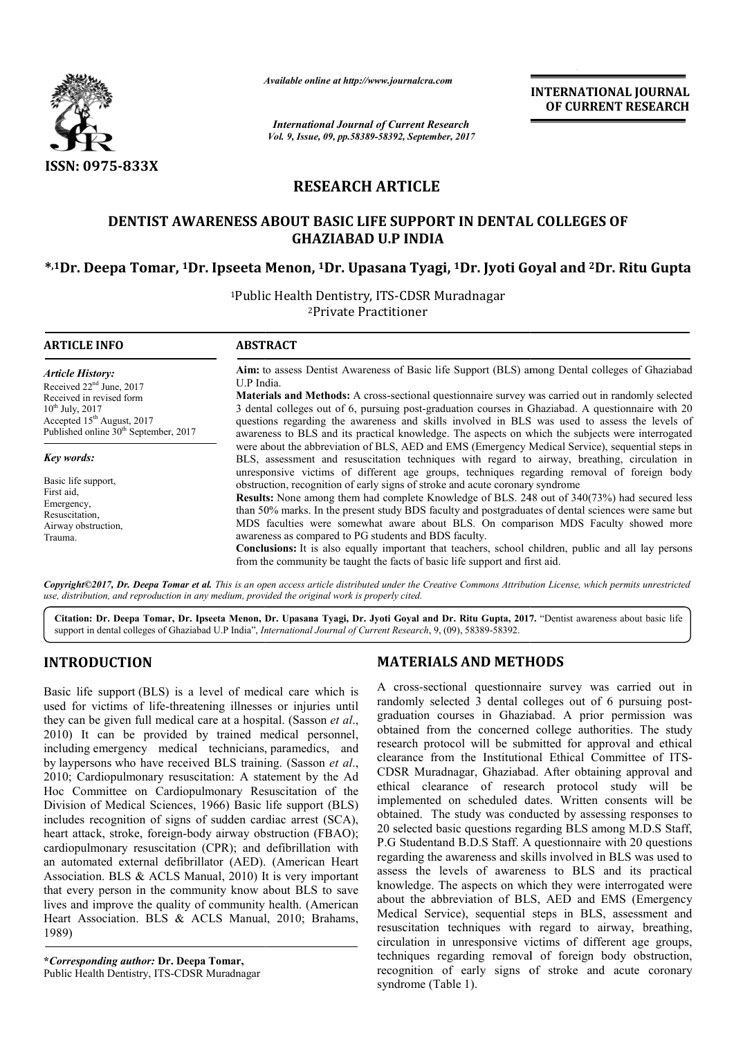

*Available online at http://www.journalcra.com*

*International Journal of Current Research Vol. 9, Issue, 09, pp.58389-58392, September, 2017* **INTERNATIONAL JOURNAL OF CURRENT RESEARCH**

# **RESEARCH ARTICLE**

## **DENTIST AWARENESS ABOUT BASIC LIFE SUPPORT IN DENTAL COLLEGES OF DENTIST AWARENESS BASIC LIFE SUPPORT GHAZIABAD U.P INDIA**

# **\*,1Dr. Deepa Tomar, 1Dr. Ipseeta Menon, Dr. 1Dr. Upasana Tyagi, 1Dr. Jyoti Goyal and Dr. Jyoti 2Dr. Ritu Gupta**

<sup>1</sup>Public Health Dentistry, ITS-CDSR Muradnagar 2Private Practitioner

**ARTICLE INFO ABSTRACT Aim:** to assess Dentist Awareness of Basic life Support (BLS) among Dental colleges of Ghaziabad U.P India. Materials and Methods: A cross-sectional questionnaire survey was carried out in randomly selected 3 dental colleges out of 6, pursuing post-graduation courses in Ghaziabad. A questionnaire with 20 questions regarding the awareness and skills involved in BLS was used to assess the levels of awareness to BLS and its practical knowledge. The aspects on which the subjects were interrogated were about the abbreviation of BLS, AED and EMS (Emergency Medical Service), sequential steps in BLS, assessment and resuscitation techniques with regard to airway, breathing, circulation in unresponsive victims of different age groups, techniques regarding removal of foreign body obstruction, recognition of early signs of stroke and acute coronary syndrome **Results:** None among them had complete Knowledge of BLS. 248 out of 340(73%) had secured less than 50% marks. In the present study BDS faculty and postgraduates of dental sciences were same but MDS faculties were somewhat aware about BLS. On comparison MDS Faculty showed more awareness as compared to PG students and BDS faculty. **Conclusions:** It is also equally important that teachers, school children, public and all lay persons **Conclusions:** It is also equally important that teachers, school childre from the community be taught the facts of basic life support and first aid. *Article History:* Received 22<sup>nd</sup> June, 2017 Received in revised form  $10^{th}$  July,  $2017$ Accepted 15<sup>th</sup> August, 2017 Published online 30<sup>th</sup> September, 2017 *Key words:* Basic life support, First aid, Emergency, Resuscitation, Airway obstruction, Trauma. Aim: to assess Dentist Awareness of Basic life Support (BLS) among Dental colleges of Ghaziabad<br>U.P India.<br>Materials and Methods: A cross-sectional questionnaire survey was carried out in randomly selected<br>3 dental college awareness to BLS and its practical knowledge. The aspects on which the subjects were interrogated were about the abbreviation of BLS, AED and EMS (Emergency Medical Service), sequential steps in BLS, assessment and resusci

Copyright©2017, Dr. Deepa Tomar et al. This is an open access article distributed under the Creative Commons Attribution License, which permits unrestricted *use, distribution, and reproduction in any medium, provided the original work is properly cited.*

Citation: Dr. Deepa Tomar, Dr. Ipseeta Menon, Dr. Upasana Tyagi, Dr. Jyoti Goyal and Dr. Ritu Gupta, 2017. "Dentist awareness about basic life support in dental colleges of Ghaziabad U.P India", *International Journal of Current Research* , 9, (09), 58389-58392.

# **INTRODUCTION**

Basic life support (BLS) is a level of medical care which is used for victims of life-threatening illnesses or injuries until they can be given full medical care at a hospital. (Sasson *et al*., 2010) It can be provided by trained medical personnel, including emergency medical technicians, paramedics, and by laypersons who have received BLS training. (Sasson *et al*., 2010; Cardiopulmonary resuscitation: A statement by the Ad Hoc Committee on Cardiopulmonary Resuscitation of the Division of Medical Sciences, 1966) Basic life support (BLS) includes recognition of signs of sudden cardiac arrest (SCA), heart attack, stroke, foreign-body airway obstruction (FBAO); Hoc Committee on Cardiopulmonary Resuscitation of the Division of Medical Sciences, 1966) Basic life support (BLS) includes recognition of signs of sudden cardiac arrest (SCA), heart attack, stroke, foreign-body airway obs an automated external defibrillator (AED). (American Heart Association. BLS & ACLS Manual, 2010) It is very important that every person in the community know about BLS to save lives and improve the quality of community health. (American Heart Association. BLS & ACLS Manual, 2010; Brahams, 1989)

**\****Corresponding author:* **Dr. Deepa Tomar,**  Public Health Dentistry, ITS-CDSR Muradnagar

### **MATERIALS AND METHODS METHODS**

A cross-sectional questionnaire survey was carried out in randomly selected 3 dental colleges out of 6 pursuing postrandomly selected 3 dental colleges out of 6 pursuing postgraduation courses in Ghaziabad. A prior permission was obtained from the concerned college authorities. The study research protocol will be submitted for approval and ethical clearance from the Institutional Ethical Commi obtained from the concerned college authorities. The study research protocol will be submitted for approval and ethical clearance from the Institutional Ethical Committee of ITS-CDSR Muradnagar, Ghaziabad. After obtaining approval and ethical clearance of research protocol study will be implemented on scheduled dates. Written consents will be obtained. The study was conducted by assessing responses to obtained. The study was conducted by assessing responses to 20 selected basic questions regarding BLS among M.D.S Staff, P.G Studentand B.D.S Staff. A questionnaire with 20 questions regarding the awareness and skills involved in BLS was used to assess the levels of awareness to BLS and its practical P.G Studentand B.D.S Staff. A questionnaire with 20 questions regarding the awareness and skills involved in BLS was used to assess the levels of awareness to BLS and its practical knowledge. The aspects on which they were about the abbreviation of BLS, AED and EMS (Emergency Medical Service), sequential steps in BLS, assessment and resuscitation techniques with regard to airway, breathing, about the abbreviation of BLS, AED and EMS (Emergency Medical Service), sequential steps in BLS, assessment and resuscitation techniques with regard to airway, breathing, circulation in unresponsive victims of different ag techniques regarding removal of foreign body obstruction, recognition of early signs of stroke and acute coronary syndrome (Table 1). Iuradnagar, Ghaziabad. After obtaining approval and clearance of research protocol study will be nted on scheduled dates. Written consents will be **EXERCTS (THE ATTIONAL SOURNAL SET AND THE SET AND THE SET AND THE SET AND THE SET AND THE SET AND THE SET AND THE SET AND THE SET AND THE SET AND THE SET AND THE SET AND THE SET AND THE SET AND THE SET AND THE SET AND TH**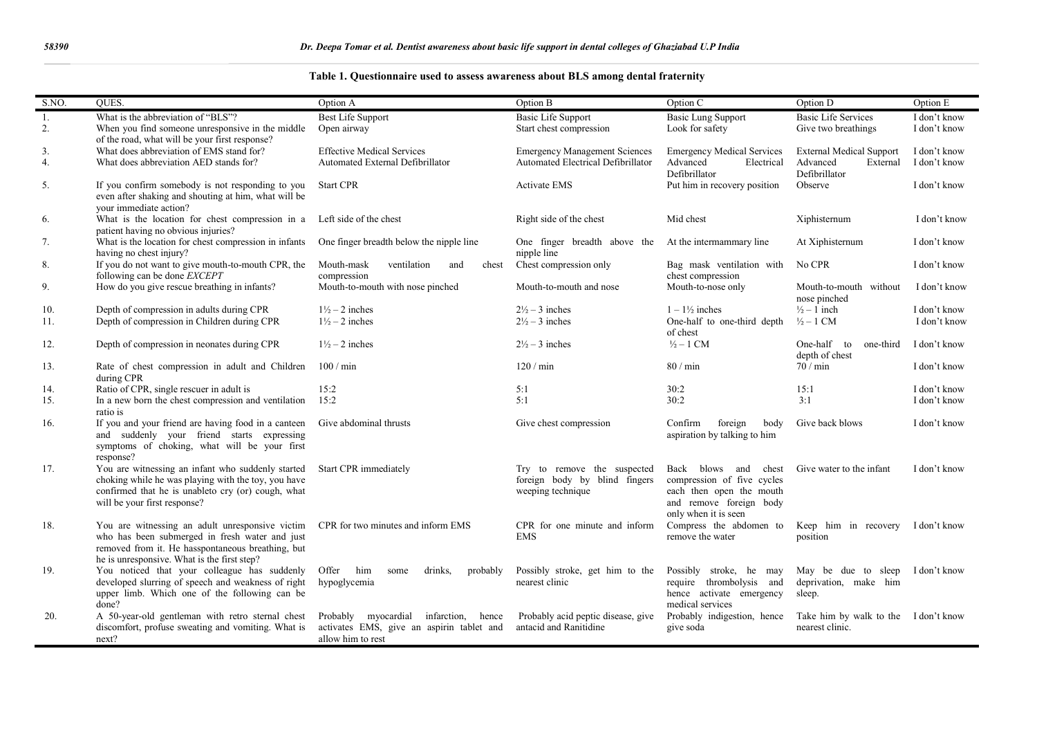|  |  |  |  |  |  |  | Table 1. Questionnaire used to assess awareness about BLS among dental fraternity |
|--|--|--|--|--|--|--|-----------------------------------------------------------------------------------|
|--|--|--|--|--|--|--|-----------------------------------------------------------------------------------|

| S.NO.    | <b>OUES</b>                                                                                                                                                                                           | Option A                                                                                                | Option B                                                                          | Option C                                                                                                                          | Option D                                                                 | Option E                     |
|----------|-------------------------------------------------------------------------------------------------------------------------------------------------------------------------------------------------------|---------------------------------------------------------------------------------------------------------|-----------------------------------------------------------------------------------|-----------------------------------------------------------------------------------------------------------------------------------|--------------------------------------------------------------------------|------------------------------|
| 1.<br>2. | What is the abbreviation of "BLS"?<br>When you find someone unresponsive in the middle                                                                                                                | <b>Best Life Support</b><br>Open airway                                                                 | <b>Basic Life Support</b><br>Start chest compression                              | <b>Basic Lung Support</b><br>Look for safety                                                                                      | <b>Basic Life Services</b><br>Give two breathings                        | I don't know<br>I don't know |
| 3.<br>4. | of the road, what will be your first response?<br>What does abbreviation of EMS stand for?<br>What does abbreviation AED stands for?                                                                  | <b>Effective Medical Services</b><br>Automated External Defibrillator                                   | <b>Emergency Management Sciences</b><br>Automated Electrical Defibrillator        | <b>Emergency Medical Services</b><br>Advanced<br>Electrical<br>Defibrillator                                                      | <b>External Medical Support</b><br>Advanced<br>External<br>Defibrillator | I don't know<br>I don't know |
| 5.       | If you confirm somebody is not responding to you<br>even after shaking and shouting at him, what will be<br>your immediate action?                                                                    | <b>Start CPR</b>                                                                                        | <b>Activate EMS</b>                                                               | Put him in recovery position                                                                                                      | Observe                                                                  | I don't know                 |
| 6.       | What is the location for chest compression in a Left side of the chest<br>patient having no obvious injuries?                                                                                         |                                                                                                         | Right side of the chest                                                           | Mid chest                                                                                                                         | Xiphisternum                                                             | I don't know                 |
| 7.       | What is the location for chest compression in infants<br>having no chest injury?                                                                                                                      | One finger breadth below the nipple line                                                                | One finger breadth above the<br>nipple line                                       | At the intermammary line                                                                                                          | At Xiphisternum                                                          | I don't know                 |
| 8.       | If you do not want to give mouth-to-mouth CPR, the<br>following can be done EXCEPT                                                                                                                    | Mouth-mask<br>ventilation<br>and<br>chest<br>compression                                                | Chest compression only                                                            | Bag mask ventilation with<br>chest compression                                                                                    | No CPR                                                                   | I don't know                 |
| 9.       | How do you give rescue breathing in infants?                                                                                                                                                          | Mouth-to-mouth with nose pinched                                                                        | Mouth-to-mouth and nose                                                           | Mouth-to-nose only                                                                                                                | Mouth-to-mouth without<br>nose pinched                                   | I don't know                 |
| 10.      | Depth of compression in adults during CPR                                                                                                                                                             | $1\frac{1}{2}$ – 2 inches                                                                               | $2\frac{1}{2}$ – 3 inches                                                         | $1 - 1\frac{1}{2}$ inches                                                                                                         | $\frac{1}{2}$ – 1 inch                                                   | I don't know                 |
| 11.      | Depth of compression in Children during CPR                                                                                                                                                           | $1\frac{1}{2}$ – 2 inches                                                                               | $2\frac{1}{2}$ – 3 inches                                                         | One-half to one-third depth<br>of chest                                                                                           | $\frac{1}{2} - 1$ CM                                                     | I don't know                 |
| 12.      | Depth of compression in neonates during CPR                                                                                                                                                           | $1\frac{1}{2}$ – 2 inches                                                                               | $2\frac{1}{2}$ – 3 inches                                                         | $\frac{1}{2} - 1$ CM                                                                                                              | One-half to<br>one-third<br>depth of chest                               | I don't know                 |
| 13.      | Rate of chest compression in adult and Children<br>during CPR                                                                                                                                         | $100 / \text{min}$                                                                                      | 120/min                                                                           | 80 / min                                                                                                                          | $70/$ min                                                                | I don't know                 |
| 14.      | Ratio of CPR, single rescuer in adult is                                                                                                                                                              | 15:2                                                                                                    | 5:1                                                                               | 30:2                                                                                                                              | 15:1                                                                     | I don't know                 |
| 15.      | In a new born the chest compression and ventilation $15:2$<br>ratio is                                                                                                                                |                                                                                                         | 5:1                                                                               | 30:2                                                                                                                              | 3:1                                                                      | I don't know                 |
| 16.      | If you and your friend are having food in a canteen Give abdominal thrusts<br>and suddenly your friend starts expressing<br>symptoms of choking, what will be your first<br>response?                 |                                                                                                         | Give chest compression                                                            | Confirm<br>foreign<br>body<br>aspiration by talking to him                                                                        | Give back blows                                                          | I don't know                 |
| 17.      | You are witnessing an infant who suddenly started<br>choking while he was playing with the toy, you have<br>confirmed that he is unableto cry (or) cough, what<br>will be your first response?        | Start CPR immediately                                                                                   | Try to remove the suspected<br>foreign body by blind fingers<br>weeping technique | Back blows and chest<br>compression of five cycles<br>each then open the mouth<br>and remove foreign body<br>only when it is seen | Give water to the infant                                                 | I don't know                 |
| 18.      | You are witnessing an adult unresponsive victim<br>who has been submerged in fresh water and just<br>removed from it. He hasspontaneous breathing, but<br>he is unresponsive. What is the first step? | CPR for two minutes and inform EMS                                                                      | CPR for one minute and inform<br><b>EMS</b>                                       | Compress the abdomen to<br>remove the water                                                                                       | Keep him in recovery I don't know<br>position                            |                              |
| 19.      | You noticed that your colleague has suddenly<br>developed slurring of speech and weakness of right<br>upper limb. Which one of the following can be<br>done?                                          | Offer<br>him<br>drinks.<br>some<br>probably<br>hypoglycemia                                             | Possibly stroke, get him to the<br>nearest clinic                                 | Possibly stroke, he may<br>require thrombolysis and<br>hence activate emergency<br>medical services                               | May be due to sleep I don't know<br>deprivation, make him<br>sleep.      |                              |
| 20.      | A 50-year-old gentleman with retro sternal chest<br>discomfort, profuse sweating and vomiting. What is<br>next?                                                                                       | Probably myocardial infarction, hence<br>activates EMS, give an aspirin tablet and<br>allow him to rest | Probably acid peptic disease, give<br>antacid and Ranitidine                      | Probably indigestion, hence<br>give soda                                                                                          | Take him by walk to the I don't know<br>nearest clinic.                  |                              |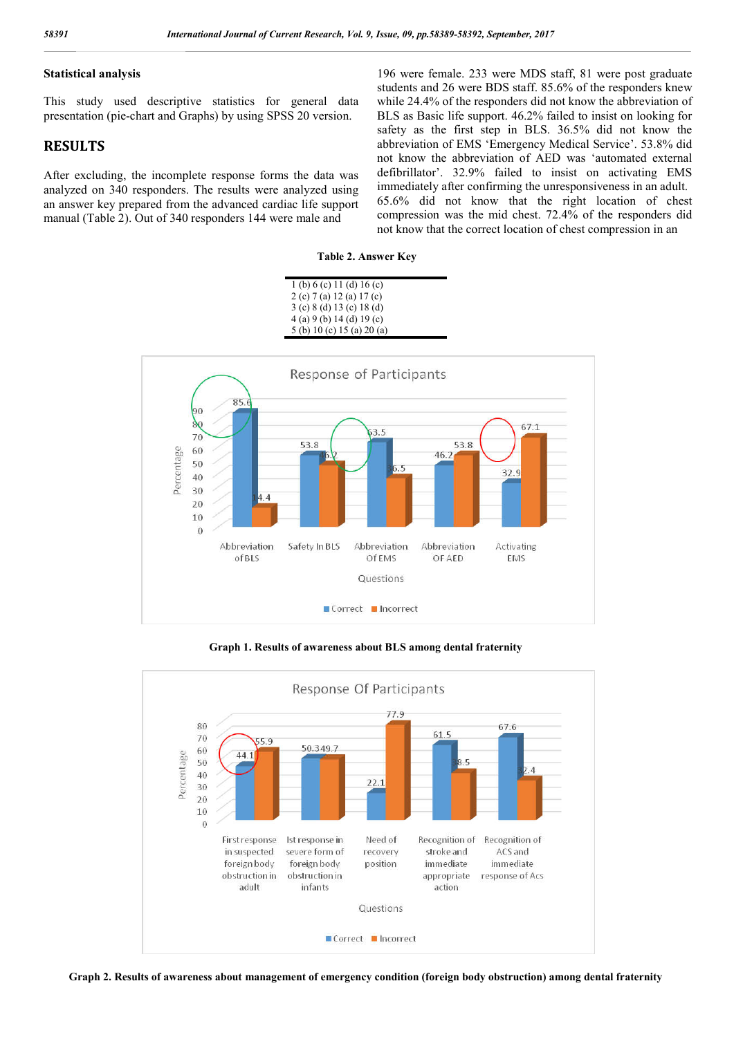#### **Statistical analysis**

This study used descriptive statistics for general data presentation (pie-chart and Graphs) by using SPSS 20 version.

#### **RESULTS**

After excluding, the incomplete response forms the data was analyzed on 340 responders. The results were analyzed using an answer key prepared from the advanced cardiac life support manual (Table 2). Out of 340 responders 144 were male and

196 were female. 233 were MDS staff, 81 were post graduate students and 26 were BDS staff. 85.6% of the responders knew while 24.4% of the responders did not know the abbreviation of BLS as Basic life support. 46.2% failed to insist on looking for safety as the first step in BLS. 36.5% did not know the abbreviation of EMS 'Emergency Medical Service'. 53.8% did not know the abbreviation of AED was 'automated external defibrillator'. 32.9% failed to insist on activating EMS immediately after confirming the unresponsiveness in an adult. 65.6% did not know that the right location of chest compression was the mid chest. 72.4% of the responders did not know that the correct location of chest compression in an

#### **Table 2. Answer Key**

| 1 (b) 6 (c) 11 (d) 16 (c)     |  |
|-------------------------------|--|
| 2 (c) 7 (a) 12 (a) 17 (c)     |  |
| $3$ (c) $8$ (d) 13 (c) 18 (d) |  |
| 4(a) 9(b) 14(d) 19(c)         |  |
| 5 (b) 10 (c) 15 (a) 20 (a)    |  |



**Graph 1. Results of awareness about BLS among dental fraternity**



**Graph 2. Results of awareness about management of emergency condition (foreign body obstruction) among dental fraternity**